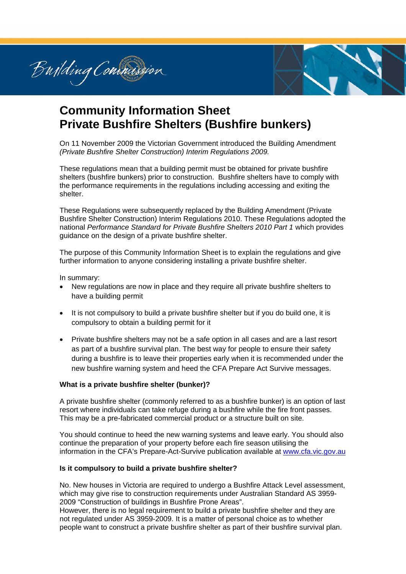

# **Community Information Sheet Private Bushfire Shelters (Bushfire bunkers)**

On 11 November 2009 the Victorian Government introduced the Building Amendment *(Private Bushfire Shelter Construction) Interim Regulations 2009.*

These regulations mean that a building permit must be obtained for private bushfire shelters (bushfire bunkers) prior to construction. Bushfire shelters have to comply with the performance requirements in the regulations including accessing and exiting the shelter.

These Regulations were subsequently replaced by the Building Amendment (Private Bushfire Shelter Construction) Interim Regulations 2010. These Regulations adopted the national *Performance Standard for Private Bushfire Shelters 2010 Part 1* which provides guidance on the design of a private bushfire shelter.

The purpose of this Community Information Sheet is to explain the regulations and give further information to anyone considering installing a private bushfire shelter.

In summary:

- New regulations are now in place and they require all private bushfire shelters to have a building permit
- It is not compulsory to build a private bushfire shelter but if you do build one, it is compulsory to obtain a building permit for it
- Private bushfire shelters may not be a safe option in all cases and are a last resort as part of a bushfire survival plan. The best way for people to ensure their safety during a bushfire is to leave their properties early when it is recommended under the new bushfire warning system and heed the CFA Prepare Act Survive messages.

## **What is a private bushfire shelter (bunker)?**

A private bushfire shelter (commonly referred to as a bushfire bunker) is an option of last resort where individuals can take refuge during a bushfire while the fire front passes. This may be a pre-fabricated commercial product or a structure built on site.

You should continue to heed the new warning systems and leave early. You should also continue the preparation of your property before each fire season utilising the information in the CFA's Prepare-Act-Survive publication available at www.cfa.vic.gov.au

#### **Is it compulsory to build a private bushfire shelter?**

No. New houses in Victoria are required to undergo a Bushfire Attack Level assessment, which may give rise to construction requirements under Australian Standard AS 3959- 2009 "Construction of buildings in Bushfire Prone Areas".

However, there is no legal requirement to build a private bushfire shelter and they are not regulated under AS 3959-2009. It is a matter of personal choice as to whether people want to construct a private bushfire shelter as part of their bushfire survival plan.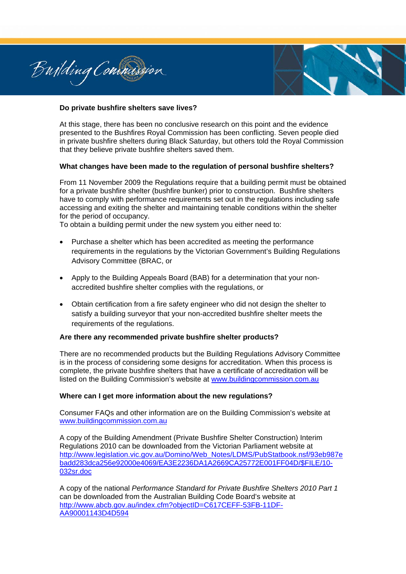

## **Do private bushfire shelters save lives?**

At this stage, there has been no conclusive research on this point and the evidence presented to the Bushfires Royal Commission has been conflicting. Seven people died in private bushfire shelters during Black Saturday, but others told the Royal Commission that they believe private bushfire shelters saved them.

## **What changes have been made to the regulation of personal bushfire shelters?**

From 11 November 2009 the Regulations require that a building permit must be obtained for a private bushfire shelter (bushfire bunker) prior to construction. Bushfire shelters have to comply with performance requirements set out in the regulations including safe accessing and exiting the shelter and maintaining tenable conditions within the shelter for the period of occupancy.

To obtain a building permit under the new system you either need to:

- Purchase a shelter which has been accredited as meeting the performance requirements in the regulations by the Victorian Government's Building Regulations Advisory Committee (BRAC, or
- Apply to the Building Appeals Board (BAB) for a determination that your nonaccredited bushfire shelter complies with the regulations, or
- Obtain certification from a fire safety engineer who did not design the shelter to satisfy a building surveyor that your non-accredited bushfire shelter meets the requirements of the regulations.

#### **Are there any recommended private bushfire shelter products?**

There are no recommended products but the Building Regulations Advisory Committee is in the process of considering some designs for accreditation. When this process is complete, the private bushfire shelters that have a certificate of accreditation will be listed on the Building Commission's website at www.buildingcommission.com.au

#### **Where can I get more information about the new regulations?**

Consumer FAQs and other information are on the Building Commission's website at www.buildingcommission.com.au

A copy of the Building Amendment (Private Bushfire Shelter Construction) Interim Regulations 2010 can be downloaded from the Victorian Parliament website at http://www.legislation.vic.gov.au/Domino/Web\_Notes/LDMS/PubStatbook.nsf/93eb987e badd283dca256e92000e4069/EA3E2236DA1A2669CA25772E001FF04D/\$FILE/10- 032sr.doc

A copy of the national *Performance Standard for Private Bushfire Shelters 2010 Part 1*  can be downloaded from the Australian Building Code Board's website at http://www.abcb.gov.au/index.cfm?objectID=C617CEFF-53FB-11DF-AA90001143D4D594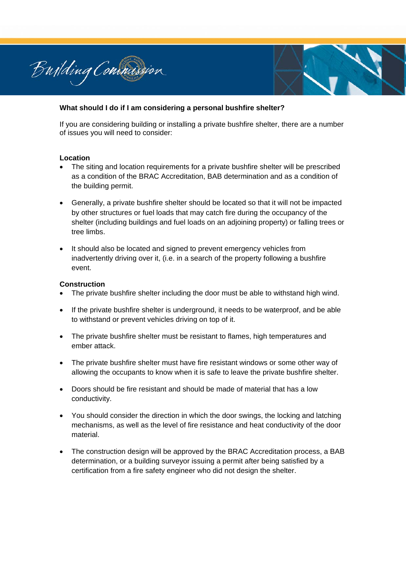

# **What should I do if I am considering a personal bushfire shelter?**

If you are considering building or installing a private bushfire shelter, there are a number of issues you will need to consider:

## **Location**

- The siting and location requirements for a private bushfire shelter will be prescribed as a condition of the BRAC Accreditation, BAB determination and as a condition of the building permit.
- Generally, a private bushfire shelter should be located so that it will not be impacted by other structures or fuel loads that may catch fire during the occupancy of the shelter (including buildings and fuel loads on an adjoining property) or falling trees or tree limbs.
- It should also be located and signed to prevent emergency vehicles from inadvertently driving over it, (i.e. in a search of the property following a bushfire event.

# **Construction**

- The private bushfire shelter including the door must be able to withstand high wind.
- If the private bushfire shelter is underground, it needs to be waterproof, and be able to withstand or prevent vehicles driving on top of it.
- The private bushfire shelter must be resistant to flames, high temperatures and ember attack.
- The private bushfire shelter must have fire resistant windows or some other way of allowing the occupants to know when it is safe to leave the private bushfire shelter.
- Doors should be fire resistant and should be made of material that has a low conductivity.
- You should consider the direction in which the door swings, the locking and latching mechanisms, as well as the level of fire resistance and heat conductivity of the door material.
- The construction design will be approved by the BRAC Accreditation process, a BAB determination, or a building surveyor issuing a permit after being satisfied by a certification from a fire safety engineer who did not design the shelter.